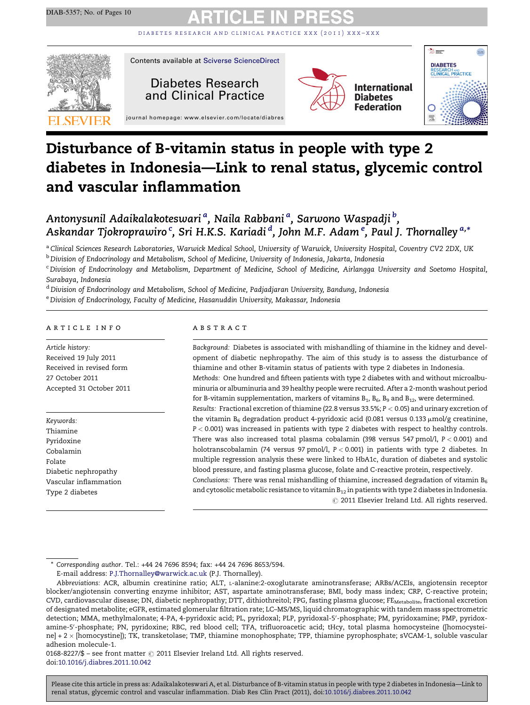DIABETES RESEARCH AND CLINICAL PRACTICE XXX (2011) XXX-XXX



# Disturbance of B-vitamin status in people with type 2 diabetes in Indonesia—Link to renal status, glycemic control and vascular inflammation

# Antonysunil Adaikalakoteswari <sup>a</sup>, Naila Rabbani <sup>a</sup>, Sarwono Waspadji <sup>b</sup>, Askandar Tjokroprawiro <sup>c</sup>, Sri H.K.S. Kariadi <sup>d</sup>, John M.F. Adam <sup>e</sup>, Paul J. Thornalley <sup>a,</sup>\*

a Clinical Sciences Research Laboratories, Warwick Medical School, University of Warwick, University Hospital, Coventry CV2 2DX, UK <sup>b</sup> Division of Endocrinology and Metabolism, School of Medicine, University of Indonesia, Jakarta, Indonesia

<sup>c</sup> Division of Endocrinology and Metabolism, Department of Medicine, School of Medicine, Airlangga University and Soetomo Hospital, Surabaya, Indonesia

 $^{\rm d}$ Division of Endocrinology and Metabolism, School of Medicine, Padjadjaran University, Bandung, Indonesia

e Division of Endocrinology, Faculty of Medicine, Hasanuddin University, Makassar, Indonesia

### a r t i c l e i n f o

Article history: Received 19 July 2011 Received in revised form 27 October 2011 Accepted 31 October 2011

Keywords: Thiamine Pyridoxine Cobalamin Folate Diabetic nephropathy Vascular inflammation Type 2 diabetes

### A B S T R A C T

Background: Diabetes is associated with mishandling of thiamine in the kidney and development of diabetic nephropathy. The aim of this study is to assess the disturbance of thiamine and other B-vitamin status of patients with type 2 diabetes in Indonesia. Methods: One hundred and fifteen patients with type 2 diabetes with and without microalbuminuria or albuminuria and 39 healthy people were recruited. After a 2-month washout period for B-vitamin supplementation, markers of vitamins  $B_1$ ,  $B_6$ ,  $B_9$  and  $B_{12}$ , were determined. Results: Fractional excretion of thiamine (22.8 versus 33.5%; P < 0.05) and urinary excretion of the vitamin  $B_6$  degradation product 4-pyridoxic acid (0.081 versus 0.133  $\mu$ mol/g creatinine, P < 0.001) was increased in patients with type 2 diabetes with respect to healthy controls. There was also increased total plasma cobalamin (398 versus 547 pmol/l,  $P < 0.001$ ) and holotranscobalamin (74 versus 97 pmol/l, P < 0.001) in patients with type 2 diabetes. In multiple regression analysis these were linked to HbA1c, duration of diabetes and systolic blood pressure, and fasting plasma glucose, folate and C-reactive protein, respectively. Conclusions: There was renal mishandling of thiamine, increased degradation of vitamin  $B_6$ and cytosolic metabolic resistance to vitamin  $B_{12}$  in patients with type 2 diabetes in Indonesia.  $©$  2011 Elsevier Ireland Ltd. All rights reserved.

Corresponding author. Tel.: +44 24 7696 8594; fax: +44 24 7696 8653/594.

E-mail address: [P.J.Thornalley@warwick.ac.uk](mailto:P.J.Thornalley@warwick.ac.uk) (P.J. Thornalley).

0168-8227/\$ - see front matter © 2011 Elsevier Ireland Ltd. All rights reserved. doi[:10.1016/j.diabres.2011.10.042](http://dx.doi.org/10.1016/j.diabres.2011.10.042)

Abbreviations: ACR, albumin creatinine ratio; ALT, L-alanine:2-oxoglutarate aminotransferase; ARBs/ACEIs, angiotensin receptor blocker/angiotensin converting enzyme inhibitor; AST, aspartate aminotransferase; BMI, body mass index; CRP, C-reactive protein; CVD, cardiovascular disease; DN, diabetic nephropathy; DTT, dithiothreitol; FPG, fasting plasma glucose; FE<sub>Metabolite</sub>, fractional excretion of designated metabolite; eGFR, estimated glomerular filtration rate; LC–MS/MS, liquid chromatographic with tandem mass spectrometric detection; MMA, methylmalonate; 4-PA, 4-pyridoxic acid; PL, pyridoxal; PLP, pyridoxal-5′-phosphate; PM, pyridoxamine; PMP, pyridoxamine-5'-phosphate; PN, pyridoxine; RBC, red blood cell; TFA, trifluoroacetic acid; tHcy, total plasma homocysteine ([homocysteine] + 2 - [homocystine]); TK, transketolase; TMP, thiamine monophosphate; TPP, thiamine pyrophosphate; sVCAM-1, soluble vascular adhesion molecule-1.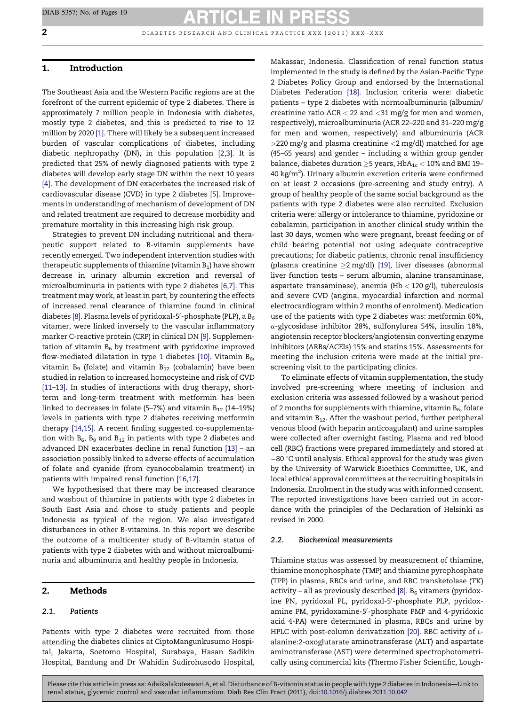$2$  d in a b in a b e t a r c and clinical practice  $xxx$  (2011)  $xxx - xxx$ 

### 1. Introduction

The Southeast Asia and the Western Pacific regions are at the forefront of the current epidemic of type 2 diabetes. There is approximately 7 million people in Indonesia with diabetes, mostly type 2 diabetes, and this is predicted to rise to 12 million by 2020 [\[1\].](#page-8-0) There will likely be a subsequent increased burden of vascular complications of diabetes, including diabetic nephropathy (DN), in this population [\[2,3\]](#page-8-0). It is predicted that 25% of newly diagnosed patients with type 2 diabetes will develop early stage DN within the next 10 years [\[4\].](#page-8-0) The development of DN exacerbates the increased risk of cardiovascular disease (CVD) in type 2 diabetes [\[5\].](#page-8-0) Improvements in understanding of mechanism of development of DN and related treatment are required to decrease morbidity and premature mortality in this increasing high risk group.

Strategies to prevent DN including nutritional and therapeutic support related to B-vitamin supplements have recently emerged. Two independent intervention studies with therapeutic supplements of thiamine (vitamin  $B_1$ ) have shown decrease in urinary albumin excretion and reversal of microalbuminuria in patients with type 2 diabetes [\[6,7\]](#page-8-0). This treatment may work, at least in part, by countering the effects of increased renal clearance of thiamine found in clinical diabetes [\[8\].](#page-8-0) Plasma levels of pyridoxal-5 $^{\prime}$ -phosphate (PLP), a B $_6$ vitamer, were linked inversely to the vascular inflammatory marker C-reactive protein (CRP) in clinical DN [\[9\].](#page-8-0) Supplementation of vitamin  $B_6$  by treatment with pyridoxine improved flow-mediated dilatation in type 1 diabetes [\[10\].](#page-8-0) Vitamin  $B_6$ , vitamin  $B_9$  (folate) and vitamin  $B_{12}$  (cobalamin) have been studied in relation to increased homocysteine and risk of CVD [\[11–13\].](#page-8-0) In studies of interactions with drug therapy, shortterm and long-term treatment with metformin has been linked to decreases in folate (5–7%) and vitamin  $B_{12}$  (14–19%) levels in patients with type 2 diabetes receiving metformin therapy [\[14,15\]](#page-8-0). A recent finding suggested co-supplementation with  $B_6$ ,  $B_9$  and  $B_{12}$  in patients with type 2 diabetes and advanced DN exacerbates decline in renal function [\[13\]](#page-8-0) – an association possibly linked to adverse effects of accumulation of folate and cyanide (from cyanocobalamin treatment) in patients with impaired renal function [\[16,17\]](#page-8-0).

We hypothesised that there may be increased clearance and washout of thiamine in patients with type 2 diabetes in South East Asia and chose to study patients and people Indonesia as typical of the region. We also investigated disturbances in other B-vitamins. In this report we describe the outcome of a multicenter study of B-vitamin status of patients with type 2 diabetes with and without microalbuminuria and albuminuria and healthy people in Indonesia.

## 2. Methods

### 2.1. Patients

Patients with type 2 diabetes were recruited from those attending the diabetes clinics at CiptoMangunkusumo Hospital, Jakarta, Soetomo Hospital, Surabaya, Hasan Sadikin Hospital, Bandung and Dr Wahidin Sudirohusodo Hospital, Makassar, Indonesia. Classification of renal function status implemented in the study is defined by the Asian-Pacific Type 2 Diabetes Policy Group and endorsed by the International Diabetes Federation [\[18\].](#page-8-0) Inclusion criteria were: diabetic patients – type 2 diabetes with normoalbuminuria (albumin/ creatinine ratio  $ACR < 22$  and  $<$  31 mg/g for men and women, respectively), microalbuminuria (ACR 22–220 and 31–220 mg/g for men and women, respectively) and albuminuria (ACR  $>$ 220 mg/g and plasma creatinine  $<$ 2 mg/dl) matched for age (45–65 years) and gender – including a within group gender balance, diabetes duration  $\geq$ 5 years, HbA $_{1c}$  < 10% and BMI 19– 40 kg/m<sup>2</sup>). Urinary albumin excretion criteria were confirmed on at least 2 occasions (pre-screening and study entry). A group of healthy people of the same social background as the patients with type 2 diabetes were also recruited. Exclusion criteria were: allergy or intolerance to thiamine, pyridoxine or cobalamin, participation in another clinical study within the last 30 days, women who were pregnant, breast feeding or of child bearing potential not using adequate contraceptive precautions; for diabetic patients, chronic renal insufficiency (plasma creatinine  $\geq$ 2 mg/dl) [\[19\],](#page-8-0) liver diseases (abnormal liver function tests – serum albumin, alanine transaminase, aspartate transaminase), anemia (H $b < 120$  g/l), tuberculosis and severe CVD (angina, myocardial infarction and normal electrocardiogram within 2 months of enrolment). Medication use of the patients with type 2 diabetes was: metformin 60%,  $\alpha$ -glycosidase inhibitor 28%, sulfonylurea 54%, insulin 18%, angiotensin receptor blockers/angiotensin converting enzyme inhibitors (ARBs/ACEIs) 15% and statins 15%. Assessments for meeting the inclusion criteria were made at the initial prescreening visit to the participating clinics.

To eliminate effects of vitamin supplementation, the study involved pre-screening where meeting of inclusion and exclusion criteria was assessed followed by a washout period of 2 months for supplements with thiamine, vitamin  $B_6$ , folate and vitamin  $B_{12}$ . After the washout period, further peripheral venous blood (with heparin anticoagulant) and urine samples were collected after overnight fasting. Plasma and red blood cell (RBC) fractions were prepared immediately and stored at  $-80$   $\degree$ C until analysis. Ethical approval for the study was given by the University of Warwick Bioethics Committee, UK, and local ethical approval committees at the recruiting hospitals in Indonesia. Enrolment in the study was with informed consent. The reported investigations have been carried out in accordance with the principles of the Declaration of Helsinki as revised in 2000.

#### 2.2. Biochemical measurements

Thiamine status was assessed by measurement of thiamine, thiamine monophosphate (TMP) and thiamine pyrophosphate (TPP) in plasma, RBCs and urine, and RBC transketolase (TK) activity – all as previously described  $[8]$ .  $B_6$  vitamers (pyridoxine PN, pyridoxal PL, pyridoxal-5'-phosphate PLP, pyridoxamine PM, pyridoxamine-5'-phosphate PMP and 4-pyridoxic acid 4-PA) were determined in plasma, RBCs and urine by HPLC with post-column derivatization [\[20\].](#page-8-0) RBC activity of Lalanine:2-oxoglutarate aminotransferase (ALT) and aspartate aminotransferase (AST) were determined spectrophotometrically using commercial kits (Thermo Fisher Scientific, Lough-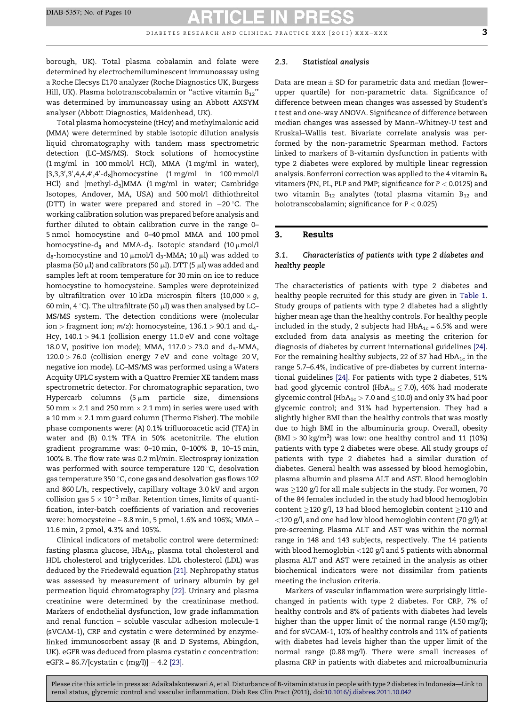DIABETES RESEARCH AND CLINICAL PRACTICE XXX  $(2011)$  XXX-XXX 3

borough, UK). Total plasma cobalamin and folate were determined by electrochemiluminescent immunoassay using a Roche Elecsys E170 analyzer (Roche Diagnostics UK, Burgess Hill, UK). Plasma holotranscobalamin or "active vitamin  $B_{12}$ " was determined by immunoassay using an Abbott AXSYM analyser (Abbott Diagnostics, Maidenhead, UK).

Total plasma homocysteine (tHcy) and methylmalonic acid (MMA) were determined by stable isotopic dilution analysis liquid chromatography with tandem mass spectrometric detection (LC–MS/MS). Stock solutions of homocystine (1 mg/ml in 100 mmol/l HCl), MMA (1 mg/ml in water),  $[3,3,3',3',4,4,4',4'-d_8]$ homocystine  $(1 \text{ mg/ml in } 100 \text{ mmol/l})$ HCl) and [methyl-d<sub>3</sub>]MMA (1 mg/ml in water; Cambridge Isotopes, Andover, MA, USA) and 500 mol/l dithiothreitol (DTT) in water were prepared and stored in  $-20$  °C. The working calibration solution was prepared before analysis and further diluted to obtain calibration curve in the range 0– 5 nmol homocystine and 0–40 pmol MMA and 100 pmol homocystine-d<sub>8</sub> and MMA-d<sub>3</sub>. Isotopic standard (10  $\mu$ mol/l  $d_8$ -homocystine and 10  $\mu$ mol/l  $d_3$ -MMA; 10  $\mu$ l) was added to plasma (50  $\mu$ l) and calibrators (50  $\mu$ l). DTT (5  $\mu$ l) was added and samples left at room temperature for 30 min on ice to reduce homocystine to homocysteine. Samples were deproteinized by ultrafiltration over 10 kDa microspin filters (10,000 $\times$  g, 60 min, 4 °C). The ultrafiltrate (50  $\mu$ l) was then analysed by LC– MS/MS system. The detection conditions were (molecular ion > fragment ion;  $m/z$ ): homocysteine, 136.1 > 90.1 and  $d_{4}$ -Hcy,  $140.1 > 94.1$  (collision energy 11.0 eV and cone voltage 18.0 V, positive ion mode); MMA,  $117.0 > 73.0$  and  $d_3$ -MMA,  $120.0 > 76.0$  (collision energy  $7 \text{ eV}$  and cone voltage  $20 \text{ V}$ , negative ion mode). LC–MS/MS was performed using a Waters Acquity UPLC system with a Quattro Premier XE tandem mass spectrometric detector. For chromatographic separation, two Hypercarb columns  $(5 \mu m)$  particle size, dimensions 50 mm  $\times$  2.1 and 250 mm  $\times$  2.1 mm) in series were used with a 10 mm  $\times$  2.1 mm guard column (Thermo Fisher). The mobile phase components were: (A) 0.1% trifluoroacetic acid (TFA) in water and (B) 0.1% TFA in 50% acetonitrile. The elution gradient programme was: 0–10 min, 0–100% B, 10–15 min, 100% B. The flow rate was 0.2 ml/min. Electrospray ionization was performed with source temperature 120 °C, desolvation gas temperature 350  $\degree$ C, cone gas and desolvation gas flows 102 and 860 L/h, respectively, capillary voltage 3.0 kV and argon collision gas 5  $\times$  10 $^{-3}$  mBar. Retention times, limits of quantification, inter-batch coefficients of variation and recoveries were: homocysteine – 8.8 min, 5 pmol, 1.6% and 106%; MMA – 11.6 min, 2 pmol, 4.3% and 105%.

Clinical indicators of metabolic control were determined: fasting plasma glucose,  $HbA_{1c}$ , plasma total cholesterol and HDL cholesterol and triglycerides. LDL cholesterol (LDL) was deduced by the Friedewald equation [\[21\]](#page-8-0). Nephropathy status was assessed by measurement of urinary albumin by gel permeation liquid chromatography [\[22\]](#page-8-0). Urinary and plasma creatinine were determined by the creatininase method. Markers of endothelial dysfunction, low grade inflammation and renal function – soluble vascular adhesion molecule-1 (sVCAM-1), CRP and cystatin c were determined by enzymelinked immunosorbent assay (R and D Systems, Abingdon, UK). eGFR was deduced from plasma cystatin c concentration: eGFR =  $86.7/[cystatin c (mg/l)] - 4.2 [23]$  $86.7/[cystatin c (mg/l)] - 4.2 [23]$ .

#### 2.3. Statistical analysis

Data are mean  $\pm$  SD for parametric data and median (lower– upper quartile) for non-parametric data. Significance of difference between mean changes was assessed by Student's t test and one-way ANOVA. Significance of difference between median changes was assessed by Mann–Whitney-U test and Kruskal–Wallis test. Bivariate correlate analysis was performed by the non-parametric Spearman method. Factors linked to markers of B-vitamin dysfunction in patients with type 2 diabetes were explored by multiple linear regression analysis. Bonferroni correction was applied to the 4 vitamin  $B_6$ vitamers (PN, PL, PLP and PMP; significance for  $P < 0.0125$ ) and two vitamin  $B_{12}$  analytes (total plasma vitamin  $B_{12}$  and holotranscobalamin; significance for  $P < 0.025$ )

### 3. Results

### 3.1. Characteristics of patients with type 2 diabetes and healthy people

The characteristics of patients with type 2 diabetes and healthy people recruited for this study are given in [Table](#page-3-0) 1. Study groups of patients with type 2 diabetes had a slightly higher mean age than the healthy controls. For healthy people included in the study, 2 subjects had  $HbA_{1c} = 6.5%$  and were excluded from data analysis as meeting the criterion for diagnosis of diabetes by current international guidelines [\[24\].](#page-8-0) For the remaining healthy subjects, 22 of 37 had  $HbA_{1c}$  in the range 5.7–6.4%, indicative of pre-diabetes by current international guidelines [\[24\]](#page-8-0). For patients with type 2 diabetes, 51% had good glycemic control (HbA<sub>1c</sub>  $\leq$  7.0), 46% had moderate glycemic control (HbA<sub>1c</sub>  $>$  7.0 and  $\leq$ 10.0) and only 3% had poor glycemic control; and 31% had hypertension. They had a slightly higher BMI than the healthy controls that was mostly due to high BMI in the albuminuria group. Overall, obesity  $(BMI > 30 kg/m<sup>2</sup>)$  was low: one healthy control and 11 (10%) patients with type 2 diabetes were obese. All study groups of patients with type 2 diabetes had a similar duration of diabetes. General health was assessed by blood hemoglobin, plasma albumin and plasma ALT and AST. Blood hemoglobin was  $\geq$ 120 g/l for all male subjects in the study. For women, 70 of the 84 females included in the study had blood hemoglobin content  $\geq$ 120 g/l, 13 had blood hemoglobin content  $\geq$ 110 and <120 g/l, and one had low blood hemoglobin content (70 g/l) at pre-screening. Plasma ALT and AST was within the normal range in 148 and 143 subjects, respectively. The 14 patients with blood hemoglobin <120 g/l and 5 patients with abnormal plasma ALT and AST were retained in the analysis as other biochemical indicators were not dissimilar from patients meeting the inclusion criteria.

Markers of vascular inflammation were surprisingly littlechanged in patients with type 2 diabetes. For CRP, 7% of healthy controls and 8% of patients with diabetes had levels higher than the upper limit of the normal range (4.50 mg/l); and for sVCAM-1, 10% of healthy controls and 11% of patients with diabetes had levels higher than the upper limit of the normal range (0.88 mg/l). There were small increases of plasma CRP in patients with diabetes and microalbuminuria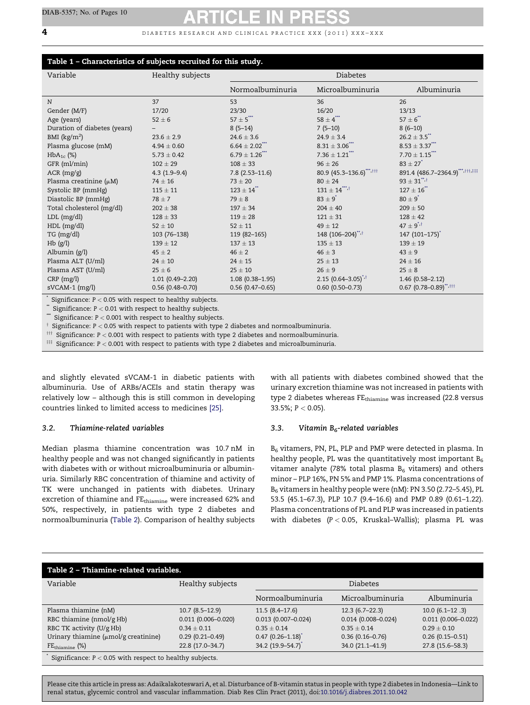### <span id="page-3-0"></span> $\overline{4}$  d i abetes research and clinical practice xxx (2011) xxx-xxx

# Table 1 – Characteristics of subjects recruited for this study.

| Variable                     | Healthy subjects    | <b>Diabetes</b>            |                                |                                     |
|------------------------------|---------------------|----------------------------|--------------------------------|-------------------------------------|
|                              |                     | Normoalbuminuria           | Microalbuminuria               | Albuminuria                         |
| N                            | 37                  | 53                         | 36                             | 26                                  |
| Gender (M/F)                 | 17/20               | 23/30                      | 16/20                          | 13/13                               |
| Age (years)                  | $52 \pm 6$          | $57\pm5$ ***               | $58\pm4$ ***                   | $57 \pm 6$                          |
| Duration of diabetes (years) |                     | $8(5-14)$                  | $7(5-10)$                      | $8(6-10)$                           |
| BMI $(kg/m2)$                | $23.6 \pm 2.9$      | $24.6 \pm 3.6$             | $24.9 \pm 3.4$                 | $26.2 \pm 3.5$ **                   |
| Plasma glucose (mM)          | $4.94 \pm 0.60$     | $6.64 \pm 2.02$            | $8.31 \pm 3.06$ <sup>***</sup> | $8.53 \pm 3.37$                     |
| $HbA_{1c}$ (%)               | $5.73 \pm 0.42$     | $6.79 \pm 1.26$ ***        | $7.36 \pm 1.21$                | $7.70 \pm 1.15$ ***                 |
| GFR (ml/min)                 | $102 \pm 29$        | $108 \pm 33$               | $96 \pm 26$                    | $83 \pm 27$ <sup>*</sup>            |
| ACR (mg/g)                   | $4.3(1.9-9.4)$      | $7.8$ (2.53-11.6)          | 80.9 (45.3-136.6)***, ###      | 891.4 (486.7-2364.9) *** ********** |
| Plasma creatinine $(\mu M)$  | $74 \pm 16$         | $73 \pm 20$                | $80 \pm 24$                    | $93 \pm 31$ <sup>**,†</sup>         |
| Systolic BP (mmHg)           | $115 \pm 11$        | $123 \pm 14$ <sup>**</sup> | $131 \pm 14$ <sup>****,†</sup> | $127 \pm 16$                        |
| Diastolic BP (mmHg)          | $78 \pm 7$          | $79 \pm 8$                 | $83 \pm 9$ <sup>*</sup>        | $80 \pm 9^*$                        |
| Total cholesterol (mg/dl)    | $202 \pm 38$        | $197 \pm 34$               | $204 \pm 40$                   | $209 \pm 50$                        |
| $LDL$ (mg/dl)                | $128 \pm 33$        | $119 \pm 28$               | $121 \pm 31$                   | $128 \pm 42$                        |
| HDL (mg/dl)                  | $52 \pm 10$         | $52 \pm 11$                | $49 \pm 12$                    | $47 \pm 9^{1,1}$                    |
| TG (mg/dl)                   | 103 (76-138)        | 119 (82-165)               | 148 (106-204)**,†              | 147 (101-175) <sup>*</sup>          |
| $Hb$ (g/l)                   | $139 \pm 12$        | $137 \pm 13$               | $135 \pm 13$                   | $139 \pm 19$                        |
| Albumin $(g/l)$              | $45 \pm 2$          | $46 \pm 2$                 | $46 \pm 3$                     | $43 \pm 9$                          |
| Plasma ALT (U/ml)            | $24 \pm 10$         | $24 \pm 15$                | $25 \pm 13$                    | $24 \pm 16$                         |
| Plasma AST (U/ml)            | $25 \pm 6$          | $25 \pm 10$                | $26 \pm 9$                     | $25 \pm 8$                          |
| $CRP$ (mg/l)                 | $1.01(0.49 - 2.20)$ | $1.08(0.38 - 1.95)$        | 2.15 $(0.64 - 3.05)^{*,+}$     | $1.46(0.58 - 2.12)$                 |
| sVCAM-1 (mg/l)               | $0.56(0.48 - 0.70)$ | $0.56(0.47-0.65)$          | $0.60$ (0.50-0.73)             | $0.67$ $(0.78 - 0.89)$ ******       |

Significance:  $P < 0.05$  with respect to healthy subjects.

 $*$  Significance:  $P < 0.01$  with respect to healthy subjects.

\*\* Significance:  $P < 0.001$  with respect to healthy subjects.

 $\dagger$  Significance: P < 0.05 with respect to patients with type 2 diabetes and normoalbuminuria.

 $^{\text{III}}$  Significance: P < 0.001 with respect to patients with type 2 diabetes and normoalbuminuria.

 $\stackrel{\text{def}}{=}$  Significance: P < 0.001 with respect to patients with type 2 diabetes and microalbuminuria.

and slightly elevated sVCAM-1 in diabetic patients with albuminuria. Use of ARBs/ACEIs and statin therapy was relatively low – although this is still common in developing countries linked to limited access to medicines [\[25\]](#page-8-0).

#### 3.2. Thiamine-related variables

Median plasma thiamine concentration was 10.7 nM in healthy people and was not changed significantly in patients with diabetes with or without microalbuminuria or albuminuria. Similarly RBC concentration of thiamine and activity of TK were unchanged in patients with diabetes. Urinary excretion of thiamine and FEthiamine were increased 62% and 50%, respectively, in patients with type 2 diabetes and normoalbuminuria (Table 2). Comparison of healthy subjects with all patients with diabetes combined showed that the urinary excretion thiamine was not increased in patients with type 2 diabetes whereas FEthiamine was increased (22.8 versus 33.5%;  $P < 0.05$ ).

#### 3.3. Vitamin  $B_6$ -related variables

B<sub>6</sub> vitamers, PN, PL, PLP and PMP were detected in plasma. In healthy people, PL was the quantitatively most important  $B_6$ vitamer analyte (78% total plasma  $B_6$  vitamers) and others minor – PLP 16%, PN 5% and PMP 1%. Plasma concentrations of B6 vitamers in healthy people were (nM): PN 3.50 (2.72–5.45), PL 53.5 (45.1–67.3), PLP 10.7 (9.4–16.6) and PMP 0.89 (0.61–1.22). Plasma concentrations of PL and PLP was increased in patients with diabetes  $(P < 0.05$ , Kruskal-Wallis); plasma PL was

| Table 2 - Thiamine-related variables.                      |                        |                        |                        |                        |  |
|------------------------------------------------------------|------------------------|------------------------|------------------------|------------------------|--|
| Variable                                                   | Healthy subjects       | <b>Diabetes</b>        |                        |                        |  |
|                                                            |                        | Normoalbuminuria       | Microalbuminuria       | Albuminuria            |  |
| Plasma thiamine (nM)                                       | $10.7(8.5-12.9)$       | $11.5(8.4-17.6)$       | $12.3(6.7-22.3)$       | $10.0 (6.1 - 12.3)$    |  |
| RBC thiamine (nmol/g Hb)                                   | $0.011(0.006 - 0.020)$ | $0.013$ (0.007-0.024)  | $0.014(0.008 - 0.024)$ | $0.011(0.006 - 0.022)$ |  |
| RBC TK activity (U/g Hb)                                   | $0.34 + 0.11$          | $0.35 + 0.14$          | $0.35 + 0.14$          | $0.29 + 0.10$          |  |
| Urinary thiamine $(\mu \text{mol/g}$ creatinine)           | $0.29(0.21 - 0.49)$    | $0.47$ $(0.26 - 1.18)$ | $0.36(0.16 - 0.76)$    | $0.26(0.15 - 0.51)$    |  |
| $FE_{thiamine}$ $(\%)$                                     | 22.8 (17.0-34.7)       | 34.2 (19.9–54.7)       | 34.0 (21.1-41.9)       | 27.8 (15.6–58.3)       |  |
| Significance: $P < 0.05$ with respect to healthy subjects. |                        |                        |                        |                        |  |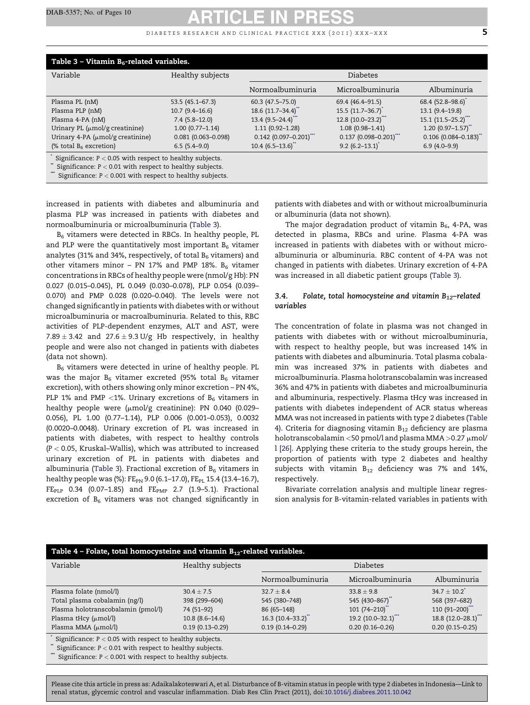DIABETES RESEARCH AND CLINICAL PRACTICE XXX (2011) XXX-XXX  $\overline{5}$ 

| Table 3 – Vitamin $B_6$ -related variables.                                                                                                                                             |                                                                                                                             |                                                                                                                                                                    |                                                                                                                                                   |                                                                                                                                                  |  |
|-----------------------------------------------------------------------------------------------------------------------------------------------------------------------------------------|-----------------------------------------------------------------------------------------------------------------------------|--------------------------------------------------------------------------------------------------------------------------------------------------------------------|---------------------------------------------------------------------------------------------------------------------------------------------------|--------------------------------------------------------------------------------------------------------------------------------------------------|--|
| Variable                                                                                                                                                                                | Healthy subjects                                                                                                            | <b>Diabetes</b>                                                                                                                                                    |                                                                                                                                                   |                                                                                                                                                  |  |
|                                                                                                                                                                                         |                                                                                                                             | Normoalbuminuria                                                                                                                                                   | Microalbuminuria                                                                                                                                  | Albuminuria                                                                                                                                      |  |
| Plasma PL (nM)<br>Plasma PLP (nM)<br>Plasma 4-PA (nM)<br>Urinary PL $(\mu \text{mol/g}$ creatinine)<br>Urinary 4-PA $(\mu \text{mol/g}$ creatinine)<br>(% total $B_6$ excretion)        | 53.5 (45.1-67.3)<br>$10.7(9.4 - 16.6)$<br>$7.4(5.8-12.0)$<br>$1.00(0.77 - 1.14)$<br>$0.081$ (0.063-0.098)<br>$6.5(5.4-9.0)$ | $60.3$ $(47.5 - 75.0)$<br>18.6 (11.7-34.4)**<br>$13.4(9.5-24.4)$<br>$1.11(0.92 - 1.28)$<br>$0.142$ (0.097-0.201) <sup>***</sup><br>$10.4$ (6.5–13.6) <sup>**</sup> | 69.4 (46.4-91.5)<br>$15.5(11.7-36.7)$<br>$12.8(10.0-23.2)^{11}$<br>$1.08(0.98 - 1.41)$<br>$0.137(0.098 - 0.201)$<br>$9.2$ (6.2-13.1) <sup>*</sup> | 68.4 (52.8-98.6)<br>13.1 (9.4-19.8)<br>$15.1 (11.5 - 25.2)^{**}$<br>$1.20(0.97 - 1.57)$<br>$0.106$ (0.084-0.183) <sup>**</sup><br>$6.9(4.0-9.9)$ |  |
| Significance: $P < 0.05$ with respect to healthy subjects.<br>Significance: $P < 0.01$ with respect to healthy subjects.<br>Significance: $P < 0.001$ with respect to healthy subjects. |                                                                                                                             |                                                                                                                                                                    |                                                                                                                                                   |                                                                                                                                                  |  |

increased in patients with diabetes and albuminuria and plasma PLP was increased in patients with diabetes and normoalbuminuria or microalbuminuria (Table 3).

B6 vitamers were detected in RBCs. In healthy people, PL and PLP were the quantitatively most important  $B_6$  vitamer analytes (31% and 34%, respectively, of total  $B_6$  vitamers) and other vitamers minor – PN 17% and PMP 18%.  $B_6$  vitamer concentrations in RBCs of healthy people were (nmol/g Hb): PN 0.027 (0.015–0.045), PL 0.049 (0.030–0.078), PLP 0.054 (0.039– 0.070) and PMP 0.028 (0.020–0.040). The levels were not changed significantly in patients with diabetes with or without microalbuminuria or macroalbuminuria. Related to this, RBC activities of PLP-dependent enzymes, ALT and AST, were 7.89  $\pm$  3.42 and 27.6  $\pm$  9.3 U/g Hb respectively, in healthy people and were also not changed in patients with diabetes (data not shown).

B<sub>6</sub> vitamers were detected in urine of healthy people. PL was the major  $B_6$  vitamer excreted (95% total  $B_6$  vitamer excretion), with others showing only minor excretion – PN 4%, PLP 1% and PMP <1%. Urinary excretions of  $B_6$  vitamers in healthy people were  $(\mu \text{mol/g}$  creatinine): PN 0.040 (0.029-0.056), PL 1.00 (0.77–1.14), PLP 0.006 (0.001–0.053), 0.0032 (0.0020–0.0048). Urinary excretion of PL was increased in patients with diabetes, with respect to healthy controls  $(P < 0.05$ , Kruskal-Wallis), which was attributed to increased urinary excretion of PL in patients with diabetes and albuminuria (Table 3). Fractional excretion of  $B_6$  vitamers in healthy people was (%): FE<sub>PN</sub> 9.0 (6.1–17.0), FE<sub>PL</sub> 15.4 (13.4–16.7),  $FE_{PLP}$  0.34 (0.07-1.85) and  $FE_{PMP}$  2.7 (1.9-5.1). Fractional excretion of  $B_6$  vitamers was not changed significantly in patients with diabetes and with or without microalbuminuria or albuminuria (data not shown).

The major degradation product of vitamin  $B_6$ , 4-PA, was detected in plasma, RBCs and urine. Plasma 4-PA was increased in patients with diabetes with or without microalbuminuria or albuminuria. RBC content of 4-PA was not changed in patients with diabetes. Urinary excretion of 4-PA was increased in all diabetic patient groups (Table 3).

### 3.4. Folate, total homocysteine and vitamin  $B_{12}$ -related variables

The concentration of folate in plasma was not changed in patients with diabetes with or without microalbuminuria, with respect to healthy people, but was increased 14% in patients with diabetes and albuminuria. Total plasma cobalamin was increased 37% in patients with diabetes and microalbuminuria. Plasma holotranscobalamin was increased 36% and 47% in patients with diabetes and microalbuminuria and albuminuria, respectively. Plasma tHcy was increased in patients with diabetes independent of ACR status whereas MMA was not increased in patients with type 2 diabetes (Table 4). Criteria for diagnosing vitamin  $B_{12}$  deficiency are plasma holotranscobalamin <50 pmol/l and plasma MMA >0.27  $\mu$ mol/ l [\[26\].](#page-8-0) Applying these criteria to the study groups herein, the proportion of patients with type 2 diabetes and healthy subjects with vitamin  $B_{12}$  deficiency was 7% and 14%, respectively.

Bivariate correlation analysis and multiple linear regression analysis for B-vitamin-related variables in patients with

| Table 4 - Folate, total homocysteine and vitamin $B_{12}$ -related variables.                                            |                                 |                               |                                  |                                |  |
|--------------------------------------------------------------------------------------------------------------------------|---------------------------------|-------------------------------|----------------------------------|--------------------------------|--|
| Variable                                                                                                                 | Healthy subjects                | <b>Diabetes</b>               |                                  |                                |  |
|                                                                                                                          |                                 | Normoalbuminuria              | Microalbuminuria                 | Albuminuria                    |  |
| Plasma folate (nmol/l)<br>Total plasma cobalamin (ng/l)                                                                  | $30.4 \pm 7.5$<br>398 (299-604) | $32.7 + 8.4$<br>545 (380-748) | $33.8 + 9.8$<br>545 (430-867)    | $34.7 + 10.2$<br>568 (397-682) |  |
| Plasma holotranscobalamin (pmol/l)                                                                                       | 74 (51-92)                      | 86 (65-148)                   | $101 (74 - 210)^{4}$             | $110(91-200)$                  |  |
| Plasma tHcy $(\mu mol/l)$                                                                                                | $10.8(8.6-14.6)$                | 16.3 (10.4–33.2)              | $19.2$ (10.0-32.1) <sup>**</sup> | 18.8 $(12.0 - 28.1)^{n}$       |  |
| Plasma MMA $(\mu mol/l)$                                                                                                 | $0.19(0.13 - 0.29)$             | $0.19(0.14 - 0.29)$           | $0.20(0.16 - 0.26)$              | $0.20(0.15 - 0.25)$            |  |
| Significance: $P < 0.05$ with respect to healthy subjects.<br>Significance: $P < 0.01$ with respect to healthy subjects. |                                 |                               |                                  |                                |  |
| Significance: $P < 0.001$ with respect to healthy subjects.                                                              |                                 |                               |                                  |                                |  |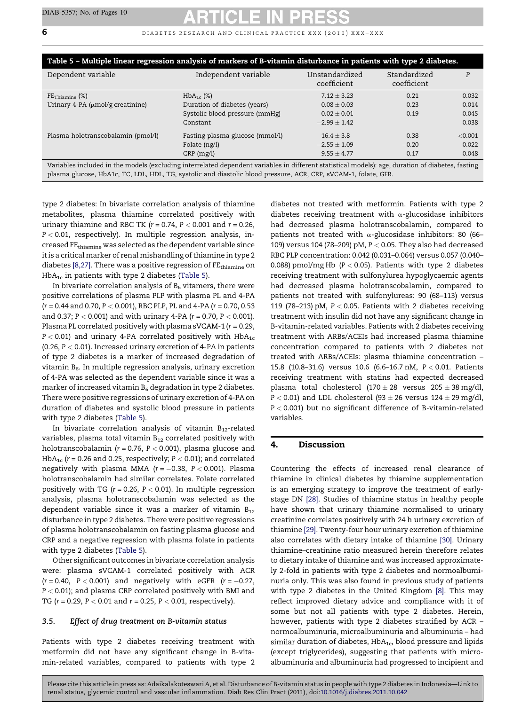6 **6** DIABETES RESEARCH AND CLINICAL PRACTICE XXX (2011) XXX-XXX

| Table 5 – Multiple linear regression analysis of markers of B-vitamin disturbance in patients with type 2 diabetes.                               |                                 |                               |                             |         |  |
|---------------------------------------------------------------------------------------------------------------------------------------------------|---------------------------------|-------------------------------|-----------------------------|---------|--|
| Dependent variable                                                                                                                                | Independent variable            | Unstandardized<br>coefficient | Standardized<br>coefficient | P       |  |
| $FE_{Thiamine}$ (%)                                                                                                                               | $HbA_{1c}$ (%)                  | $7.12 + 3.23$                 | 0.21                        | 0.032   |  |
| Urinary 4-PA $(\mu mol/g$ creatinine)                                                                                                             | Duration of diabetes (years)    | $0.08 \pm 0.03$               | 0.23                        | 0.014   |  |
|                                                                                                                                                   | Systolic blood pressure (mmHg)  | $0.02 \pm 0.01$               | 0.19                        | 0.045   |  |
|                                                                                                                                                   | Constant                        | $-2.99 \pm 1.42$              |                             | 0.038   |  |
| Plasma holotranscobalamin (pmol/l)                                                                                                                | Fasting plasma glucose (mmol/l) | $16.4 \pm 3.8$                | 0.38                        | < 0.001 |  |
|                                                                                                                                                   | Folate (ng/l)                   | $-2.55 \pm 1.09$              | $-0.20$                     | 0.022   |  |
|                                                                                                                                                   | $CRP$ (mg/l)                    | $9.55 \pm 4.77$               | 0.17                        | 0.048   |  |
| Variables included in the models (excluding interrelated dependent variables in different statistical models): age, duration of diabetes, fasting |                                 |                               |                             |         |  |

plasma glucose, HbA1c, TC, LDL, HDL, TG, systolic and diastolic blood pressure, ACR, CRP, sVCAM-1, folate, GFR.

type 2 diabetes: In bivariate correlation analysis of thiamine metabolites, plasma thiamine correlated positively with urinary thiamine and RBC TK ( $r = 0.74$ ,  $P < 0.001$  and  $r = 0.26$ ,  $P < 0.01$ , respectively). In multiple regression analysis, increased FE<sub>thiamine</sub> was selected as the dependent variable since it is a critical marker of renal mishandling of thiamine in type 2 diabetes [\[8,27\]](#page-8-0). There was a positive regression of  $FE<sub>thiamine</sub>$  on  $HbA_{1c}$  in patients with type 2 diabetes (Table 5).

In bivariate correlation analysis of  $B_6$  vitamers, there were positive correlations of plasma PLP with plasma PL and 4-PA  $(r = 0.44$  and 0.70,  $P < 0.001$ ), RBC PLP, PL and 4-PA  $(r = 0.70, 0.53)$ and 0.37; P < 0.001) and with urinary 4-PA ( $r = 0.70$ , P < 0.001). Plasma PL correlated positively with plasma sVCAM-1 ( $r = 0.29$ ,  $P < 0.01$ ) and urinary 4-PA correlated positively with HbA<sub>1c</sub> (0.26,  $P < 0.01$ ). Increased urinary excretion of 4-PA in patients of type 2 diabetes is a marker of increased degradation of vitamin  $B_6$ . In multiple regression analysis, urinary excretion of 4-PA was selected as the dependent variable since it was a marker of increased vitamin  $B_6$  degradation in type 2 diabetes. There were positive regressions of urinary excretion of 4-PA on duration of diabetes and systolic blood pressure in patients with type 2 diabetes (Table 5).

In bivariate correlation analysis of vitamin  $B_{12}$ -related variables, plasma total vitamin  $B_{12}$  correlated positively with holotranscobalamin ( $r = 0.76$ ,  $P < 0.001$ ), plasma glucose and HbA<sub>1c</sub> ( $r = 0.26$  and 0.25, respectively;  $P < 0.01$ ); and correlated negatively with plasma MMA ( $r = -0.38$ ,  $P < 0.001$ ). Plasma holotranscobalamin had similar correlates. Folate correlated positively with TG ( $r = 0.26$ ,  $P < 0.01$ ). In multiple regression analysis, plasma holotranscobalamin was selected as the dependent variable since it was a marker of vitamin  $B_{12}$ disturbance in type 2 diabetes. There were positive regressions of plasma holotranscobalamin on fasting plasma glucose and CRP and a negative regression with plasma folate in patients with type 2 diabetes (Table 5).

Other significant outcomes in bivariate correlation analysis were: plasma sVCAM-1 correlated positively with ACR  $(r = 0.40, P < 0.001)$  and negatively with eGFR  $(r = -0.27, P$  $P < 0.01$ ); and plasma CRP correlated positively with BMI and TG ( $r = 0.29$ ,  $P < 0.01$  and  $r = 0.25$ ,  $P < 0.01$ , respectively).

### 3.5. Effect of drug treatment on B-vitamin status

Patients with type 2 diabetes receiving treatment with metformin did not have any significant change in B-vitamin-related variables, compared to patients with type 2 diabetes not treated with metformin. Patients with type 2 diabetes receiving treatment with  $\alpha$ -glucosidase inhibitors had decreased plasma holotranscobalamin, compared to patients not treated with  $\alpha$ -glucosidase inhibitors: 80 (66– 109) versus 104 (78–209) pM, P < 0.05. They also had decreased RBC PLP concentration: 0.042 (0.031–0.064) versus 0.057 (0.040– 0.088) pmol/mg Hb  $(P < 0.05)$ . Patients with type 2 diabetes receiving treatment with sulfonylurea hypoglycaemic agents had decreased plasma holotranscobalamin, compared to patients not treated with sulfonylureas: 90 (68–113) versus 119 (78-213) pM,  $P < 0.05$ . Patients with 2 diabetes receiving treatment with insulin did not have any significant change in B-vitamin-related variables. Patients with 2 diabetes receiving treatment with ARBs/ACEIs had increased plasma thiamine concentration compared to patients with 2 diabetes not treated with ARBs/ACEIs: plasma thiamine concentration – 15.8 (10.8–31.6) versus 10.6 (6.6–16.7 nM, P < 0.01. Patients receiving treatment with statins had expected decreased plasma total cholesterol  $(170 \pm 28$  versus  $205 \pm 38$  mg/dl,  $P < 0.01$ ) and LDL cholesterol (93  $\pm$  26 versus 124  $\pm$  29 mg/dl, P < 0.001) but no significant difference of B-vitamin-related variables.

### 4. Discussion

Countering the effects of increased renal clearance of thiamine in clinical diabetes by thiamine supplementation is an emerging strategy to improve the treatment of earlystage DN [\[28\].](#page-8-0) Studies of thiamine status in healthy people have shown that urinary thiamine normalised to urinary creatinine correlates positively with 24 h urinary excretion of thiamine [\[29\]](#page-8-0). Twenty-four hour urinary excretion of thiamine also correlates with dietary intake of thiamine [\[30\]](#page-9-0). Urinary thiamine–creatinine ratio measured herein therefore relates to dietary intake of thiamine and was increased approximately 2-fold in patients with type 2 diabetes and normoalbuminuria only. This was also found in previous study of patients with type 2 diabetes in the United Kingdom [\[8\]](#page-8-0). This may reflect improved dietary advice and compliance with it of some but not all patients with type 2 diabetes. Herein, however, patients with type 2 diabetes stratified by ACR – normoalbuminuria, microalbuminuria and albuminuria – had similar duration of diabetes,  $HbA_{1c}$ , blood pressure and lipids (except triglycerides), suggesting that patients with microalbuminuria and albuminuria had progressed to incipient and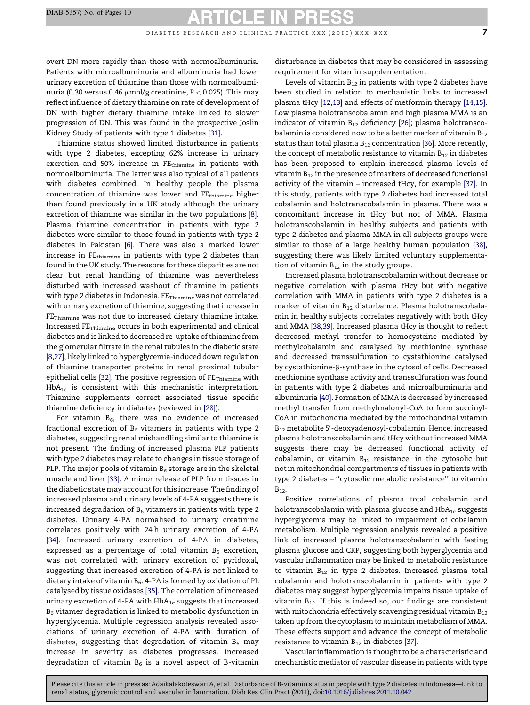DIABETES RESEARCH AND CLINICAL PRACTICE XXX  $(2011)$  XXX-XXX  $7$ 

overt DN more rapidly than those with normoalbuminuria. Patients with microalbuminuria and albuminuria had lower urinary excretion of thiamine than those with normoalbuminuria (0.30 versus 0.46  $\mu$ mol/g creatinine, P < 0.025). This may reflect influence of dietary thiamine on rate of development of DN with higher dietary thiamine intake linked to slower progression of DN. This was found in the prospective Joslin Kidney Study of patients with type 1 diabetes [\[31\].](#page-9-0)

Thiamine status showed limited disturbance in patients with type 2 diabetes, excepting 62% increase in urinary excretion and 50% increase in FEthiamine in patients with normoalbuminuria. The latter was also typical of all patients with diabetes combined. In healthy people the plasma concentration of thiamine was lower and FEthiamine higher than found previously in a UK study although the urinary excretion of thiamine was similar in the two populations [\[8\].](#page-8-0) Plasma thiamine concentration in patients with type 2 diabetes were similar to those found in patients with type 2 diabetes in Pakistan [\[6\]](#page-8-0). There was also a marked lower increase in FEthiamine in patients with type 2 diabetes than found in the UK study. The reasons for these disparities are not clear but renal handling of thiamine was nevertheless disturbed with increased washout of thiamine in patients with type 2 diabetes in Indonesia.  $FE_{Thiamine}$  was not correlated with urinary excretion of thiamine, suggesting that increase in FE<sub>Thiamine</sub> was not due to increased dietary thiamine intake. Increased FE<sub>Thiamine</sub> occurs in both experimental and clinical diabetes and is linked to decreased re-uptake of thiamine from the glomerular filtrate in the renal tubules in the diabetic state [\[8,27\]](#page-8-0), likely linked to hyperglycemia-induced down regulation of thiamine transporter proteins in renal proximal tubular epithelial cells [\[32\].](#page-9-0) The positive regression of  $FE_{Thiamine}$  with  $HbA_{1c}$  is consistent with this mechanistic interpretation. Thiamine supplements correct associated tissue specific thiamine deficiency in diabetes (reviewed in [\[28\]](#page-8-0)).

For vitamin  $B_6$ , there was no evidence of increased fractional excretion of  $B_6$  vitamers in patients with type 2 diabetes, suggesting renal mishandling similar to thiamine is not present. The finding of increased plasma PLP patients with type 2 diabetes may relate to changes in tissue storage of PLP. The major pools of vitamin  $B_6$  storage are in the skeletal muscle and liver [\[33\].](#page-9-0) A minor release of PLP from tissues in the diabetic state may account for this increase. The finding of increased plasma and urinary levels of 4-PA suggests there is increased degradation of  $B_6$  vitamers in patients with type 2 diabetes. Urinary 4-PA normalised to urinary creatinine correlates positively with 24 h urinary excretion of 4-PA [\[34\].](#page-9-0) Increased urinary excretion of 4-PA in diabetes, expressed as a percentage of total vitamin  $B_6$  excretion, was not correlated with urinary excretion of pyridoxal, suggesting that increased excretion of 4-PA is not linked to dietary intake of vitamin  $B_6$ . 4-PA is formed by oxidation of PL catalysed by tissue oxidases [\[35\]](#page-9-0). The correlation of increased urinary excretion of 4-PA with  $HbA_{1c}$  suggests that increased  $B_6$  vitamer degradation is linked to metabolic dysfunction in hyperglycemia. Multiple regression analysis revealed associations of urinary excretion of 4-PA with duration of diabetes, suggesting that degradation of vitamin  $B_6$  may increase in severity as diabetes progresses. Increased degradation of vitamin  $B_6$  is a novel aspect of B-vitamin disturbance in diabetes that may be considered in assessing requirement for vitamin supplementation.

Levels of vitamin  $B_{12}$  in patients with type 2 diabetes have been studied in relation to mechanistic links to increased plasma tHcy [\[12,13\]](#page-8-0) and effects of metformin therapy [\[14,15\].](#page-8-0) Low plasma holotranscobalamin and high plasma MMA is an indicator of vitamin  $B_{12}$  deficiency [\[26\];](#page-8-0) plasma holotranscobalamin is considered now to be a better marker of vitamin  $B_{12}$ status than total plasma  $B_{12}$  concentration [\[36\]](#page-9-0). More recently, the concept of metabolic resistance to vitamin  $B_{12}$  in diabetes has been proposed to explain increased plasma levels of vitamin  $B_{12}$  in the presence of markers of decreased functional activity of the vitamin – increased tHcy, for example [\[37\].](#page-9-0) In this study, patients with type 2 diabetes had increased total cobalamin and holotranscobalamin in plasma. There was a concomitant increase in tHcy but not of MMA. Plasma holotranscobalamin in healthy subjects and patients with type 2 diabetes and plasma MMA in all subjects groups were similar to those of a large healthy human population [\[38\],](#page-9-0) suggesting there was likely limited voluntary supplementation of vitamin  $B_{12}$  in the study groups.

Increased plasma holotranscobalamin without decrease or negative correlation with plasma tHcy but with negative correlation with MMA in patients with type 2 diabetes is a marker of vitamin  $B_{12}$  disturbance. Plasma holotranscobalamin in healthy subjects correlates negatively with both tHcy and MMA [\[38,39\]](#page-9-0). Increased plasma tHcy is thought to reflect decreased methyl transfer to homocysteine mediated by methylcobalamin and catalysed by methionine synthase and decreased transsulfuration to cystathionine catalysed by cystathionine-b-synthase in the cytosol of cells. Decreased methionine synthase activity and transsulfuration was found in patients with type 2 diabetes and microalbuminuria and albuminuria [\[40\].](#page-9-0) Formation of MMA is decreased by increased methyl transfer from methylmalonyl-CoA to form succinyl-CoA in mitochondria mediated by the mitochondrial vitamin  ${\tt B}_{12}$  metabolite 5'-deoxyadenosyl-cobalamin. Hence, increased plasma holotranscobalamin and tHcy without increased MMA suggests there may be decreased functional activity of cobalamin, or vitamin  $B_{12}$  resistance, in the cytosolic but not in mitochondrial compartments of tissues in patients with type 2 diabetes – ''cytosolic metabolic resistance'' to vitamin  $B_{12}$ .

Positive correlations of plasma total cobalamin and holotranscobalamin with plasma glucose and  $HbA_{1c}$  suggests hyperglycemia may be linked to impairment of cobalamin metabolism. Multiple regression analysis revealed a positive link of increased plasma holotranscobalamin with fasting plasma glucose and CRP, suggesting both hyperglycemia and vascular inflammation may be linked to metabolic resistance to vitamin  $B_{12}$  in type 2 diabetes. Increased plasma total cobalamin and holotranscobalamin in patients with type 2 diabetes may suggest hyperglycemia impairs tissue uptake of vitamin  $B_{12}$ . If this is indeed so, our findings are consistent with mitochondria effectively scavenging residual vitamin  $B_{12}$ taken up from the cytoplasm to maintain metabolism of MMA. These effects support and advance the concept of metabolic resistance to vitamin  $B_{12}$  in diabetes [\[37\]](#page-9-0).

Vascular inflammation is thought to be a characteristic and mechanistic mediator of vascular disease in patients with type

Please cite this article in press as: Adaikalakoteswari A, et al. Disturbance of B-vitamin status in people with type 2 diabetes in Indonesia—Link to renal status, glycemic control and vascular inflammation. Diab Res Clin Pract (2011), doi:[10.1016/j.diabres.2011.10.042](http://dx.doi.org/10.1016/j.diabres.2011.10.042)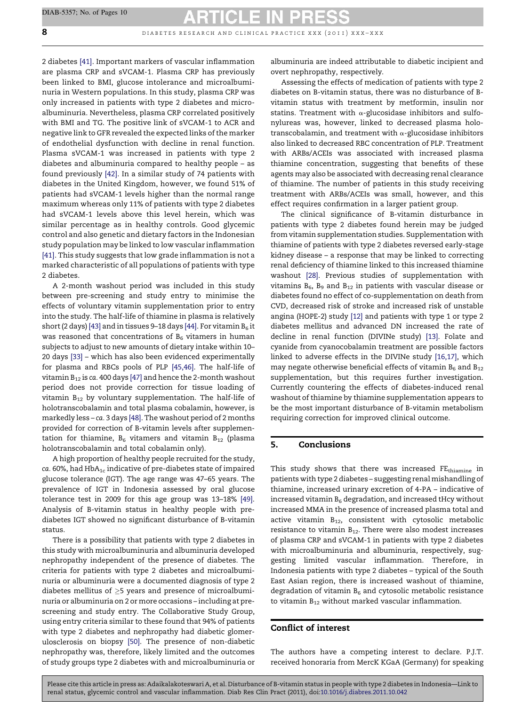**8 d** in a b i a b e t e s r e s e a r c h and c l in i c a l p r a c t i c  $\frac{1}{2011}$  x x  $\frac{1}{2011}$ 

2 diabetes [\[41\].](#page-9-0) Important markers of vascular inflammation are plasma CRP and sVCAM-1. Plasma CRP has previously been linked to BMI, glucose intolerance and microalbuminuria in Western populations. In this study, plasma CRP was only increased in patients with type 2 diabetes and microalbuminuria. Nevertheless, plasma CRP correlated positively with BMI and TG. The positive link of sVCAM-1 to ACR and negative link to GFR revealed the expected links of the marker of endothelial dysfunction with decline in renal function. Plasma sVCAM-1 was increased in patients with type 2 diabetes and albuminuria compared to healthy people – as found previously [\[42\].](#page-9-0) In a similar study of 74 patients with diabetes in the United Kingdom, however, we found 51% of patients had sVCAM-1 levels higher than the normal range maximum whereas only 11% of patients with type 2 diabetes had sVCAM-1 levels above this level herein, which was similar percentage as in healthy controls. Good glycemic control and also genetic and dietary factors in the Indonesian study population may be linked to low vascular inflammation [\[41\]](#page-9-0). This study suggests that low grade inflammation is not a marked characteristic of all populations of patients with type 2 diabetes.

A 2-month washout period was included in this study between pre-screening and study entry to minimise the effects of voluntary vitamin supplementation prior to entry into the study. The half-life of thiamine in plasma is relatively short (2 days) [\[43\]](#page-9-0) and in tissues 9–18 days [\[44\]](#page-9-0). For vitamin  $B_6$  it was reasoned that concentrations of  $B_6$  vitamers in human subjects to adjust to new amounts of dietary intake within 10– 20 days [\[33\]](#page-9-0) – which has also been evidenced experimentally for plasma and RBCs pools of PLP [\[45,46\].](#page-9-0) The half-life of vitamin  $B_{12}$  is ca. 400 days [\[47\]](#page-9-0) and hence the 2-month washout period does not provide correction for tissue loading of vitamin  $B_{12}$  by voluntary supplementation. The half-life of holotranscobalamin and total plasma cobalamin, however, is markedly less – ca. 3 days [\[48\].](#page-9-0) The washout period of 2 months provided for correction of B-vitamin levels after supplementation for thiamine,  $B_6$  vitamers and vitamin  $B_{12}$  (plasma holotranscobalamin and total cobalamin only).

A high proportion of healthy people recruited for the study, ca. 60%, had  $HbA_{1c}$  indicative of pre-diabetes state of impaired glucose tolerance (IGT). The age range was 47–65 years. The prevalence of IGT in Indonesia assessed by oral glucose tolerance test in 2009 for this age group was 13–18% [\[49\]](#page-9-0). Analysis of B-vitamin status in healthy people with prediabetes IGT showed no significant disturbance of B-vitamin status.

There is a possibility that patients with type 2 diabetes in this study with microalbuminuria and albuminuria developed nephropathy independent of the presence of diabetes. The criteria for patients with type 2 diabetes and microalbuminuria or albuminuria were a documented diagnosis of type 2 diabetes mellitus of  $\geq$ 5 years and presence of microalbuminuria or albuminuria on 2 or more occasions – including at prescreening and study entry. The Collaborative Study Group, using entry criteria similar to these found that 94% of patients with type 2 diabetes and nephropathy had diabetic glomerulosclerosis on biopsy [\[50\]](#page-9-0). The presence of non-diabetic nephropathy was, therefore, likely limited and the outcomes of study groups type 2 diabetes with and microalbuminuria or albuminuria are indeed attributable to diabetic incipient and overt nephropathy, respectively.

Assessing the effects of medication of patients with type 2 diabetes on B-vitamin status, there was no disturbance of Bvitamin status with treatment by metformin, insulin nor statins. Treatment with  $\alpha$ -glucosidase inhibitors and sulfonylureas was, however, linked to decreased plasma holotranscobalamin, and treatment with  $\alpha$ -glucosidase inhibitors also linked to decreased RBC concentration of PLP. Treatment with ARBs/ACEIs was associated with increased plasma thiamine concentration, suggesting that benefits of these agents may also be associated with decreasing renal clearance of thiamine. The number of patients in this study receiving treatment with ARBs/ACEIs was small, however, and this effect requires confirmation in a larger patient group.

The clinical significance of B-vitamin disturbance in patients with type 2 diabetes found herein may be judged from vitamin supplementation studies. Supplementation with thiamine of patients with type 2 diabetes reversed early-stage kidney disease – a response that may be linked to correcting renal deficiency of thiamine linked to this increased thiamine washout [\[28\].](#page-8-0) Previous studies of supplementation with vitamins  $B_6$ ,  $B_9$  and  $B_{12}$  in patients with vascular disease or diabetes found no effect of co-supplementation on death from CVD, decreased risk of stroke and increased risk of unstable angina (HOPE-2) study [\[12\]](#page-8-0) and patients with type 1 or type 2 diabetes mellitus and advanced DN increased the rate of decline in renal function (DIVINe study) [\[13\]](#page-8-0). Folate and cyanide from cyanocobalamin treatment are possible factors linked to adverse effects in the DIVINe study [\[16,17\],](#page-8-0) which may negate otherwise beneficial effects of vitamin  $B_6$  and  $B_{12}$ supplementation, but this requires further investigation. Currently countering the effects of diabetes-induced renal washout of thiamine by thiamine supplementation appears to be the most important disturbance of B-vitamin metabolism requiring correction for improved clinical outcome.

### 5. Conclusions

This study shows that there was increased FEthiamine in patients with type 2 diabetes – suggesting renal mishandling of thiamine, increased urinary excretion of 4-PA – indicative of increased vitamin  $B_6$  degradation, and increased tHcy without increased MMA in the presence of increased plasma total and active vitamin  $B_{12}$ , consistent with cytosolic metabolic resistance to vitamin  $B_{12}$ . There were also modest increases of plasma CRP and sVCAM-1 in patients with type 2 diabetes with microalbuminuria and albuminuria, respectively, suggesting limited vascular inflammation. Therefore, in Indonesia patients with type 2 diabetes – typical of the South East Asian region, there is increased washout of thiamine, degradation of vitamin  $B_6$  and cytosolic metabolic resistance to vitamin  $B_{12}$  without marked vascular inflammation.

### Conflict of interest

The authors have a competing interest to declare. P.J.T. received honoraria from MercK KGaA (Germany) for speaking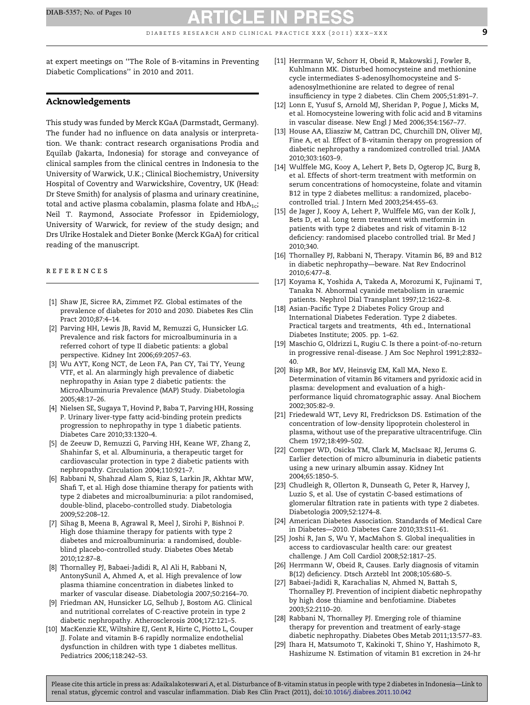<span id="page-8-0"></span>at expert meetings on ''The Role of B-vitamins in Preventing Diabetic Complications'' in 2010 and 2011.

### Acknowledgements

This study was funded by Merck KGaA (Darmstadt, Germany). The funder had no influence on data analysis or interpretation. We thank: contract research organisations Prodia and Equilab (Jakarta, Indonesia) for storage and conveyance of clinical samples from the clinical centres in Indonesia to the University of Warwick, U.K.; Clinical Biochemistry, University Hospital of Coventry and Warwickshire, Coventry, UK (Head: Dr Steve Smith) for analysis of plasma and urinary creatinine, total and active plasma cobalamin, plasma folate and  $HbA_{1c}$ ; Neil T. Raymond, Associate Professor in Epidemiology, University of Warwick, for review of the study design; and Drs Ulrike Hostalek and Dieter Bonke (Merck KGaA) for critical reading of the manuscript.

#### r e f e r e n c e s

- [1] Shaw JE, Sicree RA, Zimmet PZ. Global estimates of the prevalence of diabetes for 2010 and 2030. Diabetes Res Clin Pract 2010;87:4–14.
- [2] Parving HH, Lewis JB, Ravid M, Remuzzi G, Hunsicker LG. Prevalence and risk factors for microalbuminuria in a referred cohort of type II diabetic patients: a global perspective. Kidney Int 2006;69:2057–63.
- [3] Wu AYT, Kong NCT, de Leon FA, Pan CY, Tai TY, Yeung VTF, et al. An alarmingly high prevalence of diabetic nephropathy in Asian type 2 diabetic patients: the MicroAlbuminuria Prevalence (MAP) Study. Diabetologia 2005;48:17–26.
- [4] Nielsen SE, Sugaya T, Hovind P, Baba T, Parving HH, Rossing P. Urinary liver-type fatty acid-binding protein predicts progression to nephropathy in type 1 diabetic patients. Diabetes Care 2010;33:1320–4.
- [5] de Zeeuw D, Remuzzi G, Parving HH, Keane WF, Zhang Z, Shahinfar S, et al. Albuminuria, a therapeutic target for cardiovascular protection in type 2 diabetic patients with nephropathy. Circulation 2004;110:921–7.
- [6] Rabbani N, Shahzad Alam S, Riaz S, Larkin JR, Akhtar MW, Shafi T, et al. High dose thiamine therapy for patients with type 2 diabetes and microalbuminuria: a pilot randomised, double-blind, placebo-controlled study. Diabetologia 2009;52:208–12.
- [7] Sihag B, Meena B, Agrawal R, Meel J, Sirohi P, Bishnoi P. High dose thiamine therapy for patients with type 2 diabetes and microalbuminuria: a randomised, doubleblind placebo-controlled study. Diabetes Obes Metab 2010;12:87–8.
- [8] Thornalley PJ, Babaei-Jadidi R, Al Ali H, Rabbani N, AntonySunil A, Ahmed A, et al. High prevalence of low plasma thiamine concentration in diabetes linked to marker of vascular disease. Diabetologia 2007;50:2164–70.
- [9] Friedman AN, Hunsicker LG, Selhub J, Bostom AG. Clinical and nutritional correlates of C-reactive protein in type 2 diabetic nephropathy. Atherosclerosis 2004;172:121–5.
- [10] MacKenzie KE, Wiltshire EJ, Gent R, Hirte C, Piotto L, Couper JJ. Folate and vitamin B-6 rapidly normalize endothelial dysfunction in children with type 1 diabetes mellitus. Pediatrics 2006;118:242–53.
- [11] Herrmann W, Schorr H, Obeid R, Makowski J, Fowler B, Kuhlmann MK. Disturbed homocysteine and methionine cycle intermediates S-adenosylhomocysteine and Sadenosylmethionine are related to degree of renal insufficiency in type 2 diabetes. Clin Chem 2005;51:891–7.
- [12] Lonn E, Yusuf S, Arnold MJ, Sheridan P, Pogue J, Micks M, et al. Homocysteine lowering with folic acid and B vitamins in vascular disease. New Engl J Med 2006;354:1567–77.
- [13] House AA, Eliasziw M, Cattran DC, Churchill DN, Oliver MJ, Fine A, et al. Effect of B-vitamin therapy on progression of diabetic nephropathy a randomized controlled trial. JAMA 2010;303:1603–9.
- [14] Wulffele MG, Kooy A, Lehert P, Bets D, Ogterop JC, Burg B, et al. Effects of short-term treatment with metformin on serum concentrations of homocysteine, folate and vitamin B12 in type 2 diabetes mellitus: a randomized, placebocontrolled trial. J Intern Med 2003;254:455–63.
- [15] de Jager J, Kooy A, Lehert P, Wulffele MG, van der Kolk J, Bets D, et al. Long term treatment with metformin in patients with type 2 diabetes and risk of vitamin B-12 deficiency: randomised placebo controlled trial. Br Med J 2010;340.
- [16] Thornalley PJ, Rabbani N, Therapy. Vitamin B6, B9 and B12 in diabetic nephropathy—beware. Nat Rev Endocrinol 2010;6:477–8.
- [17] Koyama K, Yoshida A, Takeda A, Morozumi K, Fujinami T, Tanaka N. Abnormal cyanide metabolism in uraemic patients. Nephrol Dial Transplant 1997;12:1622–8.
- [18] Asian-Pacific Type 2 Diabetes Policy Group and International Diabetes Federation. Type 2 diabetes. Practical targets and treatments, 4th ed., International Diabetes Institute; 2005. pp. 1–62.
- [19] Maschio G, Oldrizzi L, Rugiu C. Is there a point-of-no-return in progressive renal-disease. J Am Soc Nephrol 1991;2:832– 40.
- [20] Bisp MR, Bor MV, Heinsvig EM, Kall MA, Nexo E. Determination of vitamin B6 vitamers and pyridoxic acid in plasma: development and evaluation of a highperformance liquid chromatographic assay. Anal Biochem 2002;305:82–9.
- [21] Friedewald WT, Levy RI, Fredrickson DS. Estimation of the concentration of low-density lipoprotein cholesterol in plasma, without use of the preparative ultracentrifuge. Clin Chem 1972;18:499–502.
- [22] Comper WD, Osicka TM, Clark M, MacIsaac RJ, Jerums G. Earlier detection of micro albuminuria in diabetic patients using a new urinary albumin assay. Kidney Int 2004;65:1850–5.
- [23] Chudleigh R, Ollerton R, Dunseath G, Peter R, Harvey J, Luzio S, et al. Use of cystatin C-based estimations of glomerular filtration rate in patients with type 2 diabetes. Diabetologia 2009;52:1274–8.
- [24] American Diabetes Association. Standards of Medical Care in Diabetes—2010. Diabetes Care 2010;33:S11–61.
- [25] Joshi R, Jan S, Wu Y, MacMahon S. Global inequalities in access to cardiovascular health care: our greatest challenge. J Am Coll Cardiol 2008;52:1817–25.
- [26] Herrmann W, Obeid R, Causes. Early diagnosis of vitamin B(12) deficiency. Dtsch Arztebl Int 2008;105:680–5.
- [27] Babaei-Jadidi R, Karachalias N, Ahmed N, Battah S, Thornalley PJ. Prevention of incipient diabetic nephropathy by high dose thiamine and benfotiamine. Diabetes 2003;52:2110–20.
- [28] Rabbani N, Thornalley PJ. Emerging role of thiamine therapy for prevention and treatment of early-stage diabetic nephropathy. Diabetes Obes Metab 2011;13:577–83.
- [29] Ihara H, Matsumoto T, Kakinoki T, Shino Y, Hashimoto R, Hashizume N. Estimation of vitamin B1 excretion in 24-hr